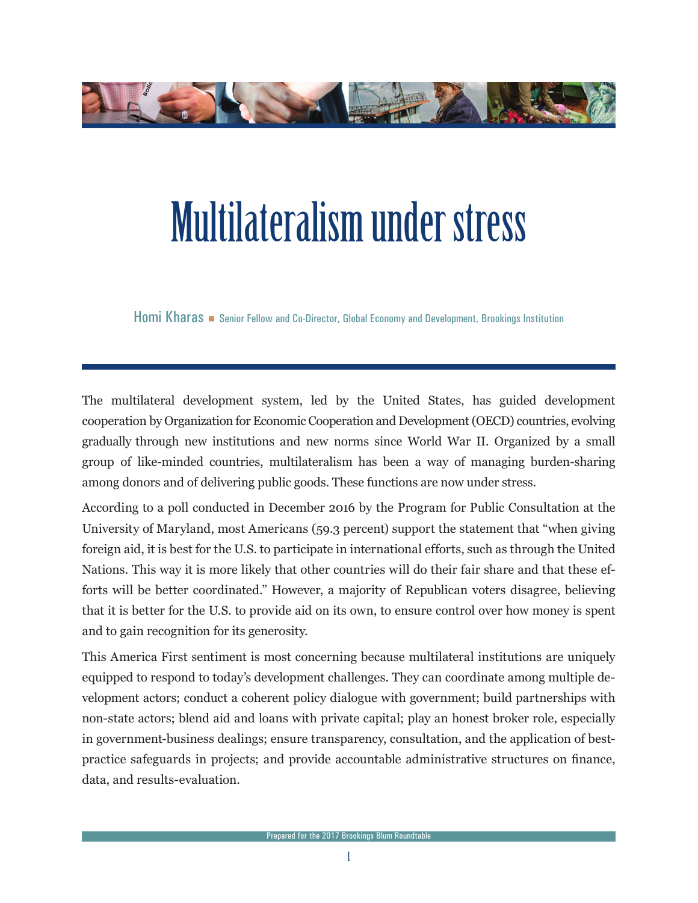

## Multilateralism under stress

Homi Kharas **Samult Fellow and Co-Director, Global Economy and Development, Brookings Institution** 

The multilateral development system, led by the United States, has guided development cooperation by Organization for Economic Cooperation and Development (OECD) countries, evolving gradually through new institutions and new norms since World War II. Organized by a small group of like-minded countries, multilateralism has been a way of managing burden-sharing among donors and of delivering public goods. These functions are now under stress.

According to a poll conducted in December 2016 by the Program for Public Consultation at the University of Maryland, most Americans (59.3 percent) support the statement that "when giving foreign aid, it is best for the U.S. to participate in international efforts, such as through the United Nations. This way it is more likely that other countries will do their fair share and that these efforts will be better coordinated." However, a majority of Republican voters disagree, believing that it is better for the U.S. to provide aid on its own, to ensure control over how money is spent and to gain recognition for its generosity.

This America First sentiment is most concerning because multilateral institutions are uniquely equipped to respond to today's development challenges. They can coordinate among multiple development actors; conduct a coherent policy dialogue with government; build partnerships with non-state actors; blend aid and loans with private capital; play an honest broker role, especially in government-business dealings; ensure transparency, consultation, and the application of bestpractice safeguards in projects; and provide accountable administrative structures on finance, data, and results-evaluation.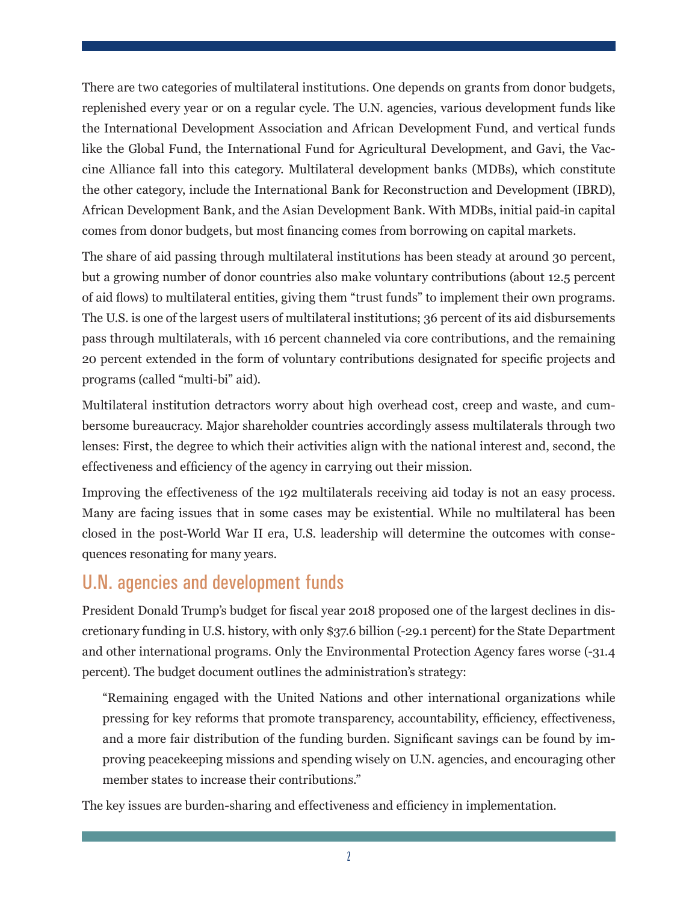There are two categories of multilateral institutions. One depends on grants from donor budgets, replenished every year or on a regular cycle. The U.N. agencies, various development funds like the International Development Association and African Development Fund, and vertical funds like the Global Fund, the International Fund for Agricultural Development, and Gavi, the Vaccine Alliance fall into this category. Multilateral development banks (MDBs), which constitute the other category, include the International Bank for Reconstruction and Development (IBRD), African Development Bank, and the Asian Development Bank. With MDBs, initial paid-in capital comes from donor budgets, but most financing comes from borrowing on capital markets.

The share of aid passing through multilateral institutions has been steady at around 30 percent, but a growing number of donor countries also make voluntary contributions (about 12.5 percent of aid flows) to multilateral entities, giving them "trust funds" to implement their own programs. The U.S. is one of the largest users of multilateral institutions; 36 percent of its aid disbursements pass through multilaterals, with 16 percent channeled via core contributions, and the remaining 20 percent extended in the form of voluntary contributions designated for specific projects and programs (called "multi-bi" aid).

Multilateral institution detractors worry about high overhead cost, creep and waste, and cumbersome bureaucracy. Major shareholder countries accordingly assess multilaterals through two lenses: First, the degree to which their activities align with the national interest and, second, the effectiveness and efficiency of the agency in carrying out their mission.

Improving the effectiveness of the 192 multilaterals receiving aid today is not an easy process. Many are facing issues that in some cases may be existential. While no multilateral has been closed in the post-World War II era, U.S. leadership will determine the outcomes with consequences resonating for many years.

## U.N. agencies and development funds

President Donald Trump's budget for fiscal year 2018 proposed one of the largest declines in discretionary funding in U.S. history, with only \$37.6 billion (-29.1 percent) for the State Department and other international programs. Only the Environmental Protection Agency fares worse (-31.4 percent). The budget document outlines the administration's strategy:

"Remaining engaged with the United Nations and other international organizations while pressing for key reforms that promote transparency, accountability, efficiency, effectiveness, and a more fair distribution of the funding burden. Significant savings can be found by improving peacekeeping missions and spending wisely on U.N. agencies, and encouraging other member states to increase their contributions."

The key issues are burden-sharing and effectiveness and efficiency in implementation.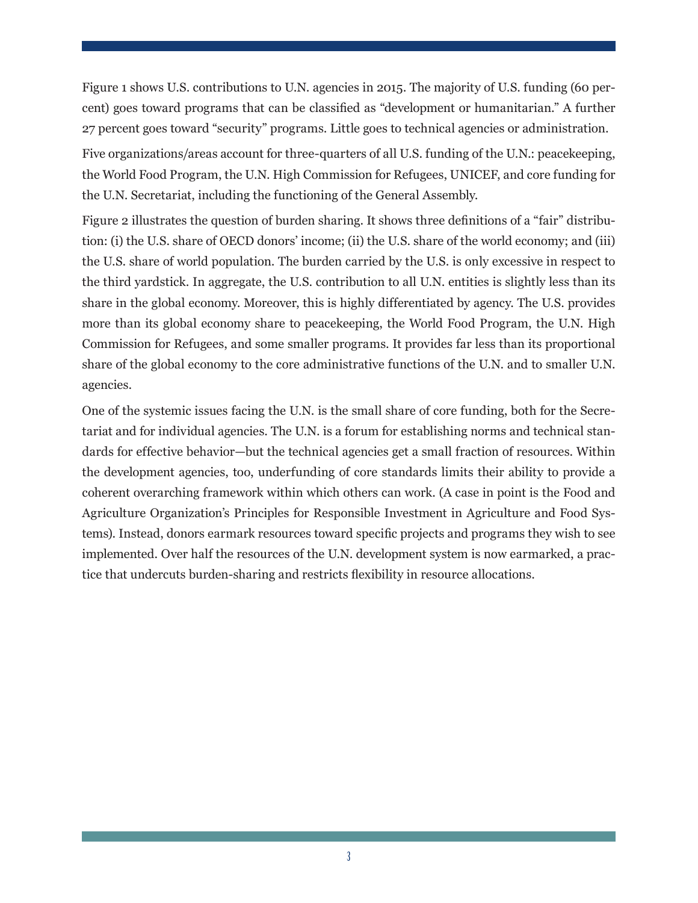Figure 1 shows U.S. contributions to U.N. agencies in 2015. The majority of U.S. funding (60 percent) goes toward programs that can be classified as "development or humanitarian." A further 27 percent goes toward "security" programs. Little goes to technical agencies or administration.

Five organizations/areas account for three-quarters of all U.S. funding of the U.N.: peacekeeping, the World Food Program, the U.N. High Commission for Refugees, UNICEF, and core funding for the U.N. Secretariat, including the functioning of the General Assembly.

Figure 2 illustrates the question of burden sharing. It shows three definitions of a "fair" distribution: (i) the U.S. share of OECD donors' income; (ii) the U.S. share of the world economy; and (iii) the U.S. share of world population. The burden carried by the U.S. is only excessive in respect to the third yardstick. In aggregate, the U.S. contribution to all U.N. entities is slightly less than its share in the global economy. Moreover, this is highly differentiated by agency. The U.S. provides more than its global economy share to peacekeeping, the World Food Program, the U.N. High Commission for Refugees, and some smaller programs. It provides far less than its proportional share of the global economy to the core administrative functions of the U.N. and to smaller U.N. agencies.

One of the systemic issues facing the U.N. is the small share of core funding, both for the Secretariat and for individual agencies. The U.N. is a forum for establishing norms and technical standards for effective behavior—but the technical agencies get a small fraction of resources. Within the development agencies, too, underfunding of core standards limits their ability to provide a coherent overarching framework within which others can work. (A case in point is the Food and Agriculture Organization's Principles for Responsible Investment in Agriculture and Food Systems). Instead, donors earmark resources toward specific projects and programs they wish to see implemented. Over half the resources of the U.N. development system is now earmarked, a practice that undercuts burden-sharing and restricts flexibility in resource allocations.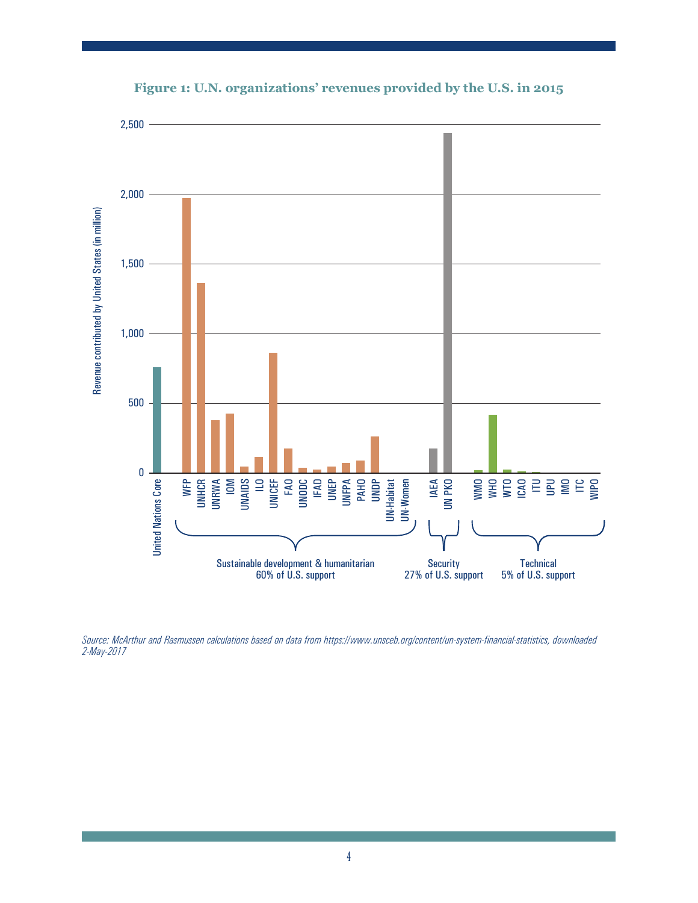

**Figure 1: U.N. organizations' revenues provided by the U.S. in 2015**

*Source: McArthur and Rasmussen calculations based on data from https://www.unsceb.org/content/un-system-financial-statistics, downloaded 2-May-2017*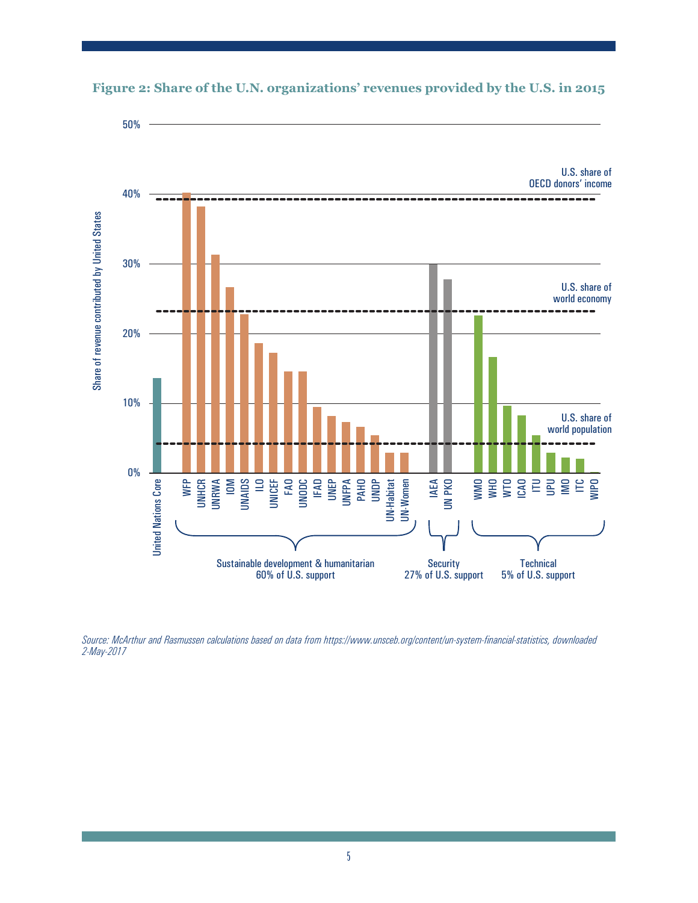



*Source: McArthur and Rasmussen calculations based on data from https://www.unsceb.org/content/un-system-financial-statistics, downloaded 2-May-2017*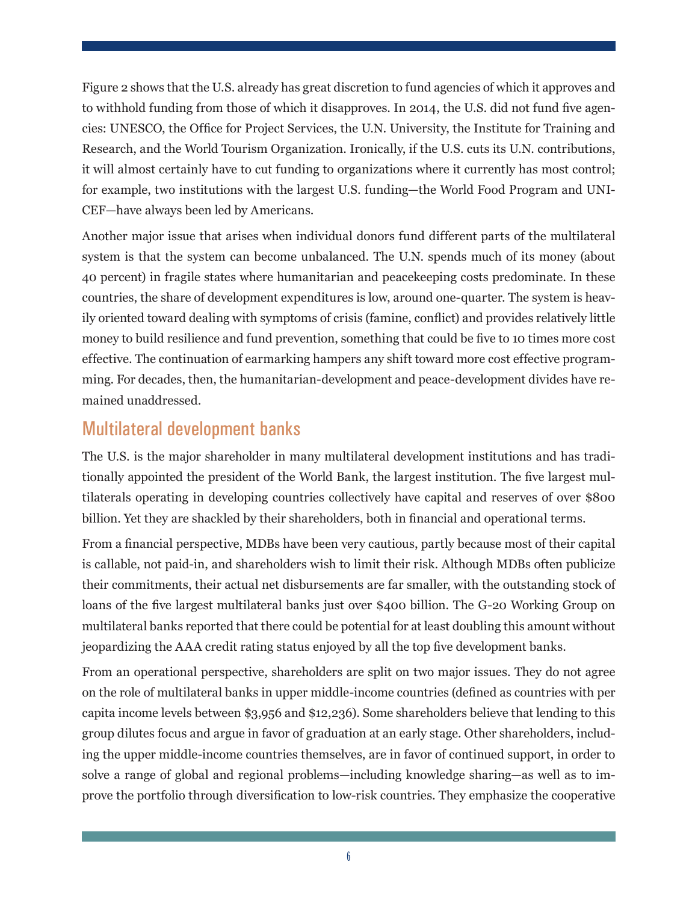Figure 2 shows that the U.S. already has great discretion to fund agencies of which it approves and to withhold funding from those of which it disapproves. In 2014, the U.S. did not fund five agencies: UNESCO, the Office for Project Services, the U.N. University, the Institute for Training and Research, and the World Tourism Organization. Ironically, if the U.S. cuts its U.N. contributions, it will almost certainly have to cut funding to organizations where it currently has most control; for example, two institutions with the largest U.S. funding—the World Food Program and UNI-CEF—have always been led by Americans.

Another major issue that arises when individual donors fund different parts of the multilateral system is that the system can become unbalanced. The U.N. spends much of its money (about 40 percent) in fragile states where humanitarian and peacekeeping costs predominate. In these countries, the share of development expenditures is low, around one-quarter. The system is heavily oriented toward dealing with symptoms of crisis (famine, conflict) and provides relatively little money to build resilience and fund prevention, something that could be five to 10 times more cost effective. The continuation of earmarking hampers any shift toward more cost effective programming. For decades, then, the humanitarian-development and peace-development divides have remained unaddressed.

## Multilateral development banks

The U.S. is the major shareholder in many multilateral development institutions and has traditionally appointed the president of the World Bank, the largest institution. The five largest multilaterals operating in developing countries collectively have capital and reserves of over \$800 billion. Yet they are shackled by their shareholders, both in financial and operational terms.

From a financial perspective, MDBs have been very cautious, partly because most of their capital is callable, not paid-in, and shareholders wish to limit their risk. Although MDBs often publicize their commitments, their actual net disbursements are far smaller, with the outstanding stock of loans of the five largest multilateral banks just over \$400 billion. The G-20 Working Group on multilateral banks reported that there could be potential for at least doubling this amount without jeopardizing the AAA credit rating status enjoyed by all the top five development banks.

From an operational perspective, shareholders are split on two major issues. They do not agree on the role of multilateral banks in upper middle-income countries (defined as countries with per capita income levels between \$3,956 and \$12,236). Some shareholders believe that lending to this group dilutes focus and argue in favor of graduation at an early stage. Other shareholders, including the upper middle-income countries themselves, are in favor of continued support, in order to solve a range of global and regional problems—including knowledge sharing—as well as to improve the portfolio through diversification to low-risk countries. They emphasize the cooperative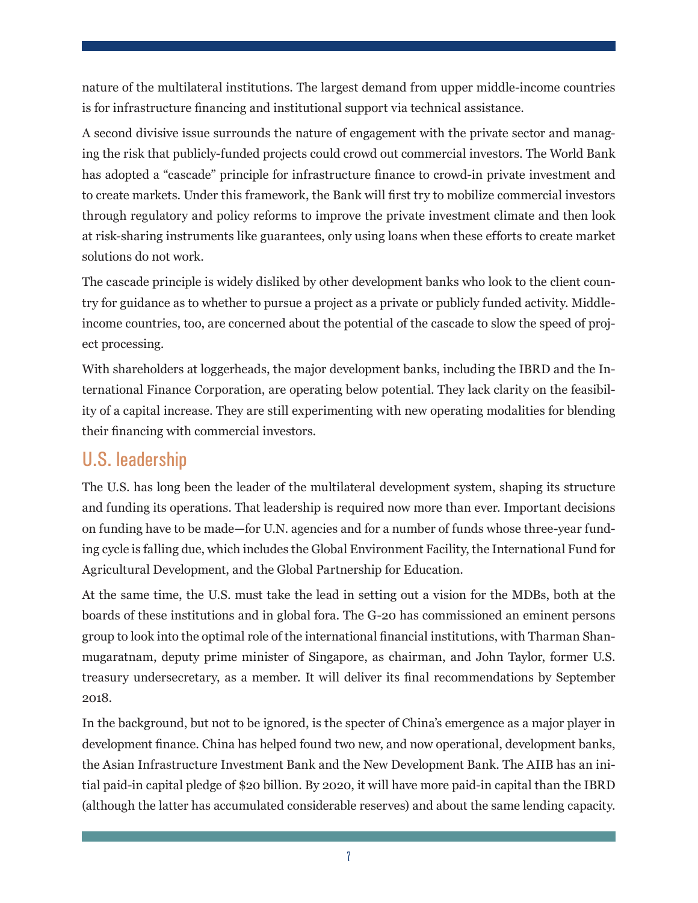nature of the multilateral institutions. The largest demand from upper middle-income countries is for infrastructure financing and institutional support via technical assistance.

A second divisive issue surrounds the nature of engagement with the private sector and managing the risk that publicly-funded projects could crowd out commercial investors. The World Bank has adopted a "cascade" principle for infrastructure finance to crowd-in private investment and to create markets. Under this framework, the Bank will first try to mobilize commercial investors through regulatory and policy reforms to improve the private investment climate and then look at risk-sharing instruments like guarantees, only using loans when these efforts to create market solutions do not work.

The cascade principle is widely disliked by other development banks who look to the client country for guidance as to whether to pursue a project as a private or publicly funded activity. Middleincome countries, too, are concerned about the potential of the cascade to slow the speed of project processing.

With shareholders at loggerheads, the major development banks, including the IBRD and the International Finance Corporation, are operating below potential. They lack clarity on the feasibility of a capital increase. They are still experimenting with new operating modalities for blending their financing with commercial investors.

## U.S. leadership

The U.S. has long been the leader of the multilateral development system, shaping its structure and funding its operations. That leadership is required now more than ever. Important decisions on funding have to be made—for U.N. agencies and for a number of funds whose three-year funding cycle is falling due, which includes the Global Environment Facility, the International Fund for Agricultural Development, and the Global Partnership for Education.

At the same time, the U.S. must take the lead in setting out a vision for the MDBs, both at the boards of these institutions and in global fora. The G-20 has commissioned an eminent persons group to look into the optimal role of the international financial institutions, with Tharman Shanmugaratnam, deputy prime minister of Singapore, as chairman, and John Taylor, former U.S. treasury undersecretary, as a member. It will deliver its final recommendations by September 2018.

In the background, but not to be ignored, is the specter of China's emergence as a major player in development finance. China has helped found two new, and now operational, development banks, the Asian Infrastructure Investment Bank and the New Development Bank. The AIIB has an initial paid-in capital pledge of \$20 billion. By 2020, it will have more paid-in capital than the IBRD (although the latter has accumulated considerable reserves) and about the same lending capacity.